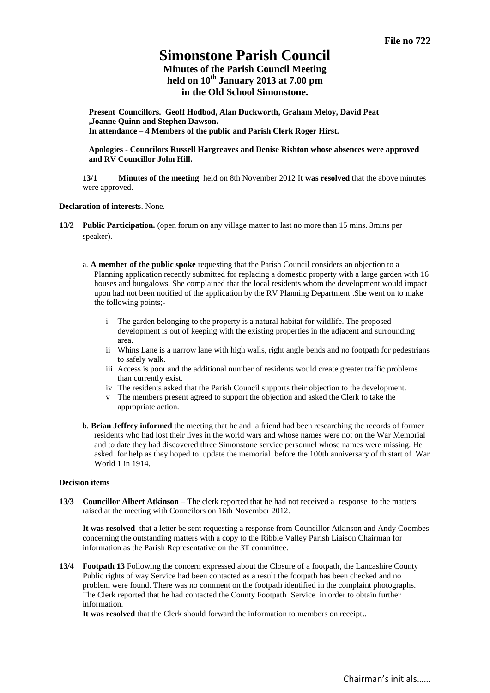# **Simonstone Parish Council**

# **Minutes of the Parish Council Meeting held on 10th January 2013 at 7.00 pm in the Old School Simonstone.**

**Present Councillors. Geoff Hodbod, Alan Duckworth, Graham Meloy, David Peat ,Joanne Quinn and Stephen Dawson. In attendance – 4 Members of the public and Parish Clerk Roger Hirst.** 

**Apologies - Councilors Russell Hargreaves and Denise Rishton whose absences were approved and RV Councillor John Hill.**

**13/1 Minutes of the meeting** held on 8th November 2012 I**t was resolved** that the above minutes were approved.

## **Declaration of interests**. None.

- **13/2 Public Participation.** (open forum on any village matter to last no more than 15 mins. 3mins per speaker).
	- a. **A member of the public spoke** requesting that the Parish Council considers an objection to a Planning application recently submitted for replacing a domestic property with a large garden with 16 houses and bungalows. She complained that the local residents whom the development would impact upon had not been notified of the application by the RV Planning Department .She went on to make the following points;
		- i The garden belonging to the property is a natural habitat for wildlife. The proposed development is out of keeping with the existing properties in the adjacent and surrounding area.
		- ii Whins Lane is a narrow lane with high walls, right angle bends and no footpath for pedestrians to safely walk.
		- iii Access is poor and the additional number of residents would create greater traffic problems than currently exist.
		- iv The residents asked that the Parish Council supports their objection to the development.
		- v The members present agreed to support the objection and asked the Clerk to take the appropriate action.
	- b. **Brian Jeffrey informed** the meeting that he and a friend had been researching the records of former residents who had lost their lives in the world wars and whose names were not on the War Memorial and to date they had discovered three Simonstone service personnel whose names were missing. He asked for help as they hoped to update the memorial before the 100th anniversary of th start of War World 1 in 1914.

## **Decision items**

**13/3 Councillor Albert Atkinson** – The clerk reported that he had not received a response to the matters raised at the meeting with Councilors on 16th November 2012.

**It was resolved** that a letter be sent requesting a response from Councillor Atkinson and Andy Coombes concerning the outstanding matters with a copy to the Ribble Valley Parish Liaison Chairman for information as the Parish Representative on the 3T committee.

**13/4 Footpath 13** Following the concern expressed about the Closure of a footpath, the Lancashire County Public rights of way Service had been contacted as a result the footpath has been checked and no problem were found. There was no comment on the footpath identified in the complaint photographs. The Clerk reported that he had contacted the County Footpath Service in order to obtain further information.

**It was resolved** that the Clerk should forward the information to members on receipt..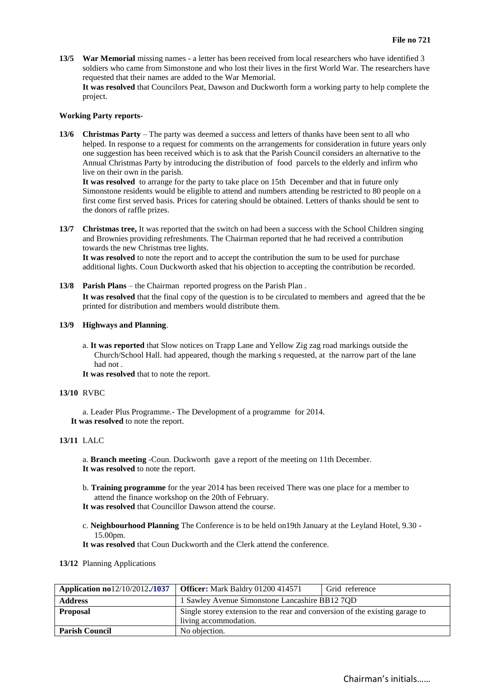**13/5 War Memorial** missing names - a letter has been received from local researchers who have identified 3 soldiers who came from Simonstone and who lost their lives in the first World War. The researchers have requested that their names are added to the War Memorial. **It was resolved** that Councilors Peat, Dawson and Duckworth form a working party to help complete the project.

## **Working Party reports-**

**13/6 Christmas Party** – The party was deemed a success and letters of thanks have been sent to all who helped. In response to a request for comments on the arrangements for consideration in future years only one suggestion has been received which is to ask that the Parish Council considers an alternative to the Annual Christmas Party by introducing the distribution of food parcels to the elderly and infirm who live on their own in the parish.

**It was resolved** to arrange for the party to take place on 15th December and that in future only Simonstone residents would be eligible to attend and numbers attending be restricted to 80 people on a first come first served basis. Prices for catering should be obtained. Letters of thanks should be sent to the donors of raffle prizes.

**13/7 Christmas tree,** It was reported that the switch on had been a success with the School Children singing and Brownies providing refreshments. The Chairman reported that he had received a contribution towards the new Christmas tree lights.

**It was resolved** to note the report and to accept the contribution the sum to be used for purchase additional lights. Coun Duckworth asked that his objection to accepting the contribution be recorded.

**13/8 Parish Plans** – the Chairman reported progress on the Parish Plan . **It was resolved** that the final copy of the question is to be circulated to members and agreed that the be printed for distribution and members would distribute them.

# **13/9 Highways and Planning**.

- a. **It was reported** that Slow notices on Trapp Lane and Yellow Zig zag road markings outside the Church/School Hall. had appeared, though the marking s requested, at the narrow part of the lane had not
- **It was resolved** that to note the report.

## **13/10** RVBC

a. Leader Plus Programme.- The Development of a programme for 2014. **It was resolved** to note the report.

# **13/11** LALC

a. **Branch meeting** -Coun. Duckworth gave a report of the meeting on 11th December. **It was resolved** to note the report.

- b. **Training programme** for the year 2014 has been received There was one place for a member to attend the finance workshop on the 20th of February.
- **It was resolved** that Councillor Dawson attend the course.
- c. **Neighbourhood Planning** The Conference is to be held on19th January at the Leyland Hotel, 9.30 15.00pm.
- **It was resolved** that Coun Duckworth and the Clerk attend the conference.

# **13/12** Planning Applications

| Application no $12/10/2012$ ,/1037 | <b>Officer:</b> Mark Baldry 01200 414571                                                              | Grid reference |  |
|------------------------------------|-------------------------------------------------------------------------------------------------------|----------------|--|
| <b>Address</b>                     | 1 Sawley Avenue Simonstone Lancashire BB12 7QD                                                        |                |  |
| <b>Proposal</b>                    | Single storey extension to the rear and conversion of the existing garage to<br>living accommodation. |                |  |
| <b>Parish Council</b>              | No objection.                                                                                         |                |  |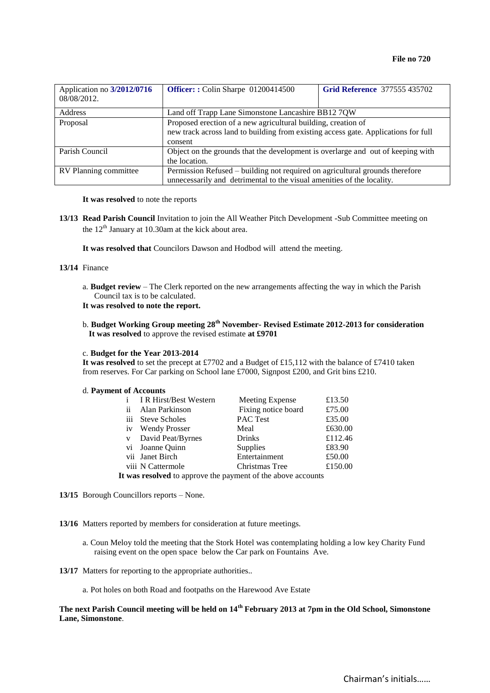| Application no 3/2012/0716<br>08/08/2012. | Officer:: Colin Sharpe 01200414500                                                                                                                             | <b>Grid Reference 377555 435702</b> |  |
|-------------------------------------------|----------------------------------------------------------------------------------------------------------------------------------------------------------------|-------------------------------------|--|
| <b>Address</b>                            | Land off Trapp Lane Simonstone Lancashire BB12 7QW                                                                                                             |                                     |  |
| Proposal                                  | Proposed erection of a new agricultural building, creation of<br>new track across land to building from existing access gate. Applications for full<br>consent |                                     |  |
| Parish Council                            | Object on the grounds that the development is overlarge and out of keeping with<br>the location.                                                               |                                     |  |
| RV Planning committee                     | Permission Refused – building not required on agricultural grounds therefore<br>unnecessarily and detrimental to the visual amenities of the locality.         |                                     |  |

#### **It was resolved** to note the reports

**13/13 Read Parish Council** Invitation to join the All Weather Pitch Development -Sub Committee meeting on the  $12<sup>th</sup>$  January at 10.30am at the kick about area.

**It was resolved that** Councilors Dawson and Hodbod will attend the meeting.

# **13/14** Finance

a. **Budget review** – The Clerk reported on the new arrangements affecting the way in which the Parish Council tax is to be calculated.

**It was resolved to note the report.** 

b. **Budget Working Group meeting 28th November- Revised Estimate 2012-2013 for consideration It was resolved** to approve the revised estimate **at £9701**

#### c. **Budget for the Year 2013-2014**

It was resolved to set the precept at £7702 and a Budget of £15,112 with the balance of £7410 taken from reserves. For Car parking on School lane £7000, Signpost £200, and Grit bins £210.

#### d. **Payment of Accounts**

|                                                                                                                 | i IR Hirst/Best Western | Meeting Expense     | £13.50  |  |  |  |
|-----------------------------------------------------------------------------------------------------------------|-------------------------|---------------------|---------|--|--|--|
| $\mathbf{ii}$                                                                                                   | Alan Parkinson          | Fixing notice board | £75.00  |  |  |  |
|                                                                                                                 | iii Steve Scholes       | PAC Test            | £35.00  |  |  |  |
|                                                                                                                 | iv Wendy Prosser        | Meal                | £630.00 |  |  |  |
|                                                                                                                 | v David Peat/Byrnes     | <b>Drinks</b>       | £112.46 |  |  |  |
|                                                                                                                 | vi Joanne Quinn         | <b>Supplies</b>     | £83.90  |  |  |  |
|                                                                                                                 | vii Janet Birch         | Entertainment       | £50.00  |  |  |  |
|                                                                                                                 | viii N Cattermole       | Christmas Tree      | £150.00 |  |  |  |
| . In the compact of the compact of the compact of $\mathcal{C}$ and the compact of the compact of $\mathcal{C}$ |                         |                     |         |  |  |  |

**It was resolved** to approve the payment of the above accounts

**13/15** Borough Councillors reports – None.

**13/16** Matters reported by members for consideration at future meetings.

- a. Coun Meloy told the meeting that the Stork Hotel was contemplating holding a low key Charity Fund raising event on the open space below the Car park on Fountains Ave.
- **13/17** Matters for reporting to the appropriate authorities..
	- a. Pot holes on both Road and footpaths on the Harewood Ave Estate

# **The next Parish Council meeting will be held on 14th February 2013 at 7pm in the Old School, Simonstone Lane, Simonstone**.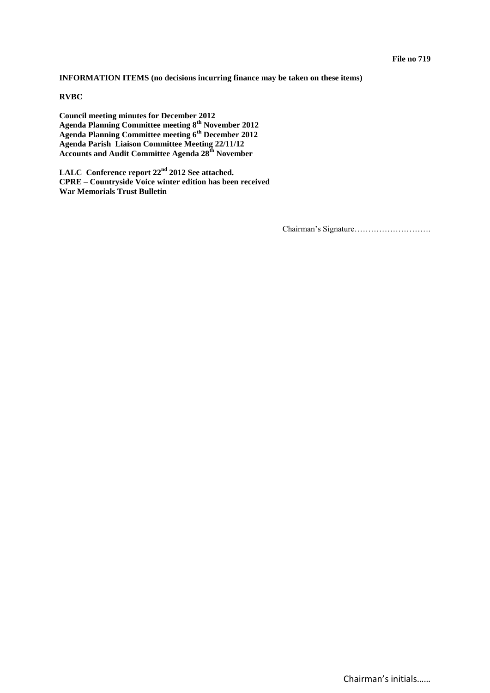**INFORMATION ITEMS (no decisions incurring finance may be taken on these items)** 

**RVBC**

**Council meeting minutes for December 2012 Agenda Planning Committee meeting 8th November 2012 Agenda Planning Committee meeting 6th December 2012 Agenda Parish Liaison Committee Meeting 22/11/12 Accounts and Audit Committee Agenda 28th November**

**LALC Conference report 22nd 2012 See attached. CPRE – Countryside Voice winter edition has been received War Memorials Trust Bulletin**

Chairman's Signature……………………….